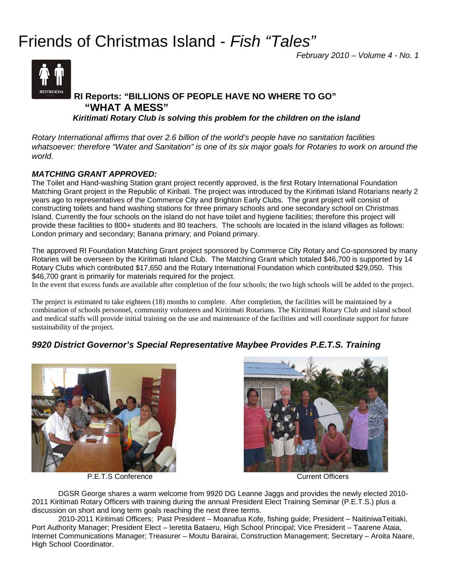# Friends of Christmas Island - *Fish "Tales"*

*February 2010 – Volume 4 - No. 1*



# **RI Reports: "BILLIONS OF PEOPLE HAVE NO WHERE TO GO" "WHAT A MESS"**

 *Kiritimati Rotary Club is solving this problem for the children on the island* 

*Rotary International affirms that over 2.6 billion of the world's people have no sanitation facilities whatsoever: therefore "Water and Sanitation" is one of its six major goals for Rotaries to work on around the world.* 

#### *MATCHING GRANT APPROVED:*

The Toilet and Hand-washing Station grant project recently approved, is the first Rotary International Foundation Matching Grant project in the Republic of Kiribati. The project was introduced by the Kiritimati Island Rotarians nearly 2 years ago to representatives of the Commerce City and Brighton Early Clubs. The grant project will consist of constructing toilets and hand washing stations for three primary schools and one secondary school on Christmas Island. Currently the four schools on the island do not have toilet and hygiene facilities; therefore this project will provide these facilities to 800+ students and 80 teachers. The schools are located in the island villages as follows: London primary and secondary; Banana primary; and Poland primary.

The approved RI Foundation Matching Grant project sponsored by Commerce City Rotary and Co-sponsored by many Rotaries will be overseen by the Kiritimati Island Club. The Matching Grant which totaled \$46,700 is supported by 14 Rotary Clubs which contributed \$17,650 and the Rotary International Foundation which contributed \$29,050. This \$46,700 grant is primarily for materials required for the project.

In the event that excess funds are available after completion of the four schools; the two high schools will be added to the project.

The project is estimated to take eighteen (18) months to complete. After completion, the facilities will be maintained by a combination of schools personnel, community volunteers and Kiritimati Rotarians. The Kiritimati Rotary Club and island school and medical staffs will provide initial training on the use and maintenance of the facilities and will coordinate support for future sustainability of the project.

# *9920 District Governor's Special Representative Maybee Provides P.E.T.S. Training*



P.E.T.S Conference **Current Officers** Current Officers



DGSR George shares a warm welcome from 9920 DG Leanne Jaggs and provides the newly elected 2010- 2011 Kiritimati Rotary Officers with training during the annual President Elect Training Seminar (P.E.T.S.) plus a discussion on short and long term goals reaching the next three terms.

2010-2011 Kiritimati Officers; Past President – Moanafua Kofe, fishing guide; President – NaitiniwaTeitiaki, Port Authority Manager; President Elect – Ieretita Bataeru, High School Principal; Vice President – Taarene Ataia, Internet Communications Manager; Treasurer – Moutu Barairai, Construction Management; Secretary – Aroita Naare, High School Coordinator.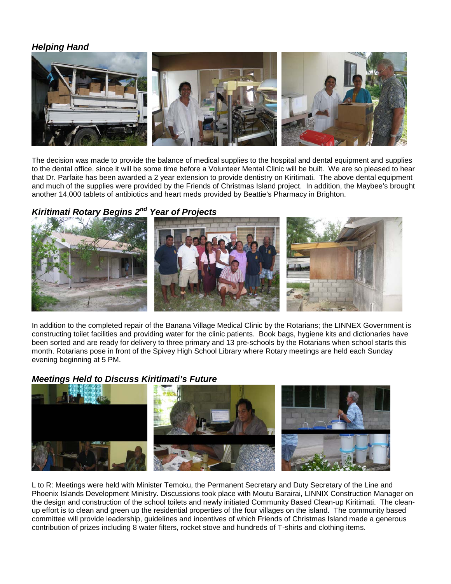#### *Helping Hand*



The decision was made to provide the balance of medical supplies to the hospital and dental equipment and supplies to the dental office, since it will be some time before a Volunteer Mental Clinic will be built. We are so pleased to hear that Dr. Parfaite has been awarded a 2 year extension to provide dentistry on Kiritimati. The above dental equipment and much of the supplies were provided by the Friends of Christmas Island project. In addition, the Maybee's brought another 14,000 tablets of antibiotics and heart meds provided by Beattie's Pharmacy in Brighton.

# *Kiritimati Rotary Begins 2nd Year of Projects*



In addition to the completed repair of the Banana Village Medical Clinic by the Rotarians; the LINNEX Government is constructing toilet facilities and providing water for the clinic patients. Book bags, hygiene kits and dictionaries have been sorted and are ready for delivery to three primary and 13 pre-schools by the Rotarians when school starts this month. Rotarians pose in front of the Spivey High School Library where Rotary meetings are held each Sunday evening beginning at 5 PM.

#### *Meetings Held to Discuss Kiritimati's Future*



L to R: Meetings were held with Minister Temoku, the Permanent Secretary and Duty Secretary of the Line and Phoenix Islands Development Ministry. Discussions took place with Moutu Barairai, LINNIX Construction Manager on the design and construction of the school toilets and newly initiated Community Based Clean-up Kiritimati. The cleanup effort is to clean and green up the residential properties of the four villages on the island. The community based committee will provide leadership, guidelines and incentives of which Friends of Christmas Island made a generous contribution of prizes including 8 water filters, rocket stove and hundreds of T-shirts and clothing items.